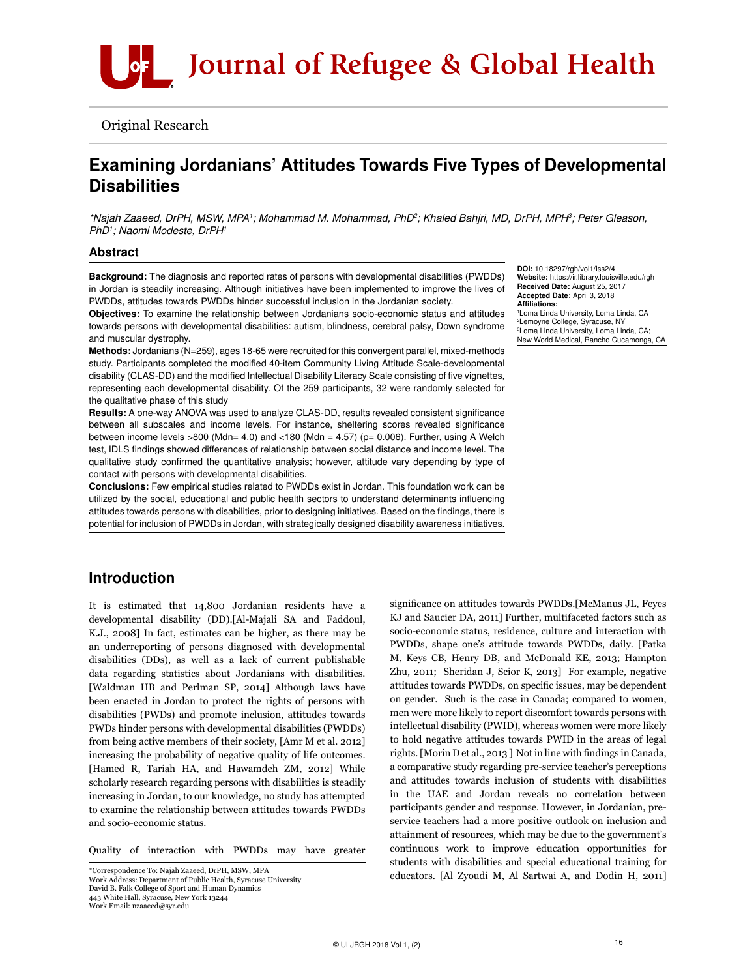

Original Research

# Examining Jordanians' Attitudes Towards Five Types of Developmental **Disabilities**

*\*Najah Zaaeed, DrPH, MSW, MPA1 ; Mohammad M. Mohammad, PhD2 ; Khaled Bahjri, MD, DrPH, MPH3 ; Peter Gleason, PhD1 ; Naomi Modeste, DrPH1*

#### Abstract

Background: The diagnosis and reported rates of persons with developmental disabilities (PWDDs) in Jordan is steadily increasing. Although initiatives have been implemented to improve the lives of PWDDs, attitudes towards PWDDs hinder successful inclusion in the Jordanian society.

Objectives: To examine the relationship between Jordanians socio-economic status and attitudes towards persons with developmental disabilities: autism, blindness, cerebral palsy, Down syndrome and muscular dystrophy.

Methods: Jordanians (N=259), ages 18-65 were recruited for this convergent parallel, mixed-methods study. Participants completed the modified 40-item Community Living Attitude Scale-developmental disability (CLAS-DD) and the modified Intellectual Disability Literacy Scale consisting of five vignettes, representing each developmental disability. Of the 259 participants, 32 were randomly selected for the qualitative phase of this study

Results: A one-way ANOVA was used to analyze CLAS-DD, results revealed consistent significance between all subscales and income levels. For instance, sheltering scores revealed significance between income levels  $>800$  (Mdn= 4.0) and  $<180$  (Mdn = 4.57) (p= 0.006). Further, using A Welch test, IDLS findings showed differences of relationship between social distance and income level. The qualitative study confirmed the quantitative analysis; however, attitude vary depending by type of contact with persons with developmental disabilities.

Conclusions: Few empirical studies related to PWDDs exist in Jordan. This foundation work can be utilized by the social, educational and public health sectors to understand determinants influencing attitudes towards persons with disabilities, prior to designing initiatives. Based on the findings, there is potential for inclusion of PWDDs in Jordan, with strategically designed disability awareness initiatives.

DOI: 10.18297/rgh/vol1/iss2/4 Website: https://ir.library.louisville.edu/rgh Received Date: August 25, 2017 Accepted Date: April 3, 2018 Affiliations:

 Loma Linda University, Loma Linda, CA Lemoyne College, Syracuse, NY Loma Linda University, Loma Linda, CA; New World Medical, Rancho Cucamonga, CA

## Introduction

It is estimated that 14,800 Jordanian residents have a developmental disability (DD).[Al-Majali SA and Faddoul, K.J., 2008] In fact, estimates can be higher, as there may be an underreporting of persons diagnosed with developmental disabilities (DDs), as well as a lack of current publishable data regarding statistics about Jordanians with disabilities. [Waldman HB and Perlman SP, 2014] Although laws have been enacted in Jordan to protect the rights of persons with disabilities (PWDs) and promote inclusion, attitudes towards PWDs hinder persons with developmental disabilities (PWDDs) from being active members of their society, [Amr M et al. 2012] increasing the probability of negative quality of life outcomes. [Hamed R, Tariah HA, and Hawamdeh ZM, 2012] While scholarly research regarding persons with disabilities is steadily increasing in Jordan, to our knowledge, no study has attempted to examine the relationship between attitudes towards PWDDs and socio-economic status.

Quality of interaction with PWDDs may have greater

\*Correspondence To: Najah Zaaeed, DrPH, MSW, MPA Work Address: Department of Public Health, Syracuse University David B. Falk College of Sport and Human Dynamics 443 White Hall, Syracuse, New York 13244 Work Email: nzaaeed@syr.edu

KJ and Saucier DA, 2011] Further, multifaceted factors such as socio-economic status, residence, culture and interaction with PWDDs, shape one's attitude towards PWDDs, daily. [Patka M, Keys CB, Henry DB, and McDonald KE, 2013; Hampton Zhu, 2011; Sheridan J, Scior K, 2013] For example, negative attitudes towards PWDDs, on specific issues, may be dependent on gender. Such is the case in Canada; compared to women, men were more likely to report discomfort towards persons with intellectual disability (PWID), whereas women were more likely to hold negative attitudes towards PWID in the areas of legal rights. [Morin D et al., 2013 ] Not in line with findings in Canada, a comparative study regarding pre-service teacher's perceptions and attitudes towards inclusion of students with disabilities in the UAE and Jordan reveals no correlation between participants gender and response. However, in Jordanian, preservice teachers had a more positive outlook on inclusion and attainment of resources, which may be due to the government's continuous work to improve education opportunities for students with disabilities and special educational training for educators. [Al Zyoudi M, Al Sartwai A, and Dodin H, 2011]

significance on attitudes towards PWDDs.[McManus JL, Feyes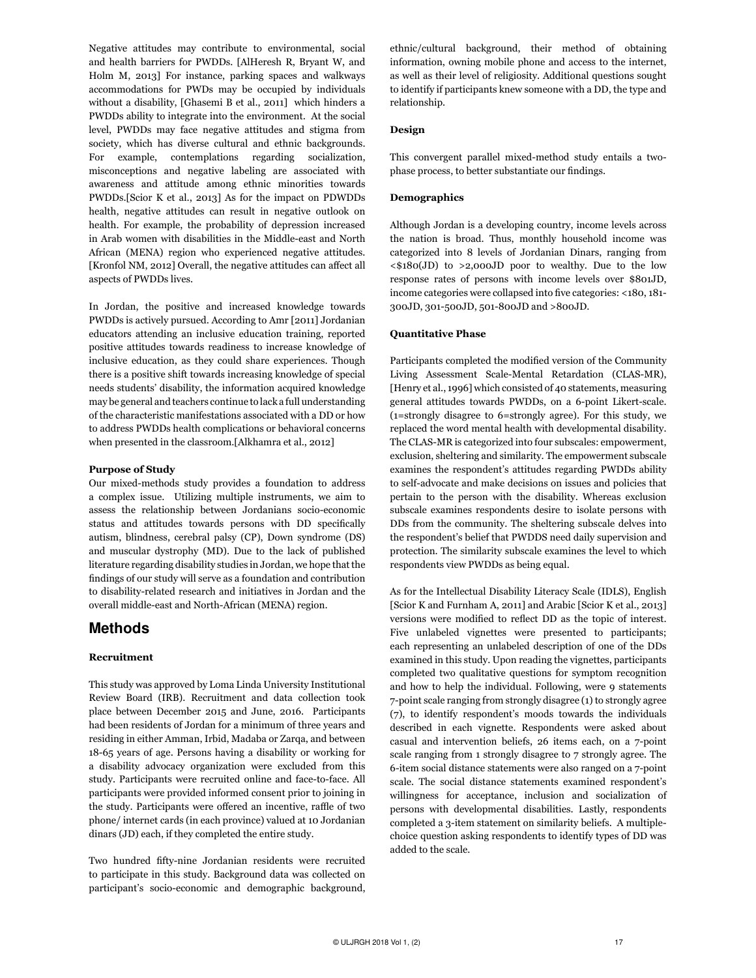Negative attitudes may contribute to environmental, social and health barriers for PWDDs. [AlHeresh R, Bryant W, and Holm M, 2013] For instance, parking spaces and walkways accommodations for PWDs may be occupied by individuals without a disability, [Ghasemi B et al., 2011] which hinders a PWDDs ability to integrate into the environment. At the social level, PWDDs may face negative attitudes and stigma from society, which has diverse cultural and ethnic backgrounds. For example, contemplations regarding socialization, misconceptions and negative labeling are associated with awareness and attitude among ethnic minorities towards PWDDs.[Scior K et al., 2013] As for the impact on PDWDDs health, negative attitudes can result in negative outlook on health. For example, the probability of depression increased in Arab women with disabilities in the Middle-east and North African (MENA) region who experienced negative attitudes. [Kronfol NM, 2012] Overall, the negative attitudes can affect all aspects of PWDDs lives.

In Jordan, the positive and increased knowledge towards PWDDs is actively pursued. According to Amr [2011] Jordanian educators attending an inclusive education training, reported positive attitudes towards readiness to increase knowledge of inclusive education, as they could share experiences. Though there is a positive shift towards increasing knowledge of special needs students' disability, the information acquired knowledge may be general and teachers continue to lack a full understanding of the characteristic manifestations associated with a DD or how to address PWDDs health complications or behavioral concerns when presented in the classroom.[Alkhamra et al., 2012]

#### **Purpose of Study**

Our mixed-methods study provides a foundation to address a complex issue. Utilizing multiple instruments, we aim to assess the relationship between Jordanians socio-economic status and attitudes towards persons with DD specifically autism, blindness, cerebral palsy (CP), Down syndrome (DS) and muscular dystrophy (MD). Due to the lack of published literature regarding disability studies in Jordan, we hope that the findings of our study will serve as a foundation and contribution to disability-related research and initiatives in Jordan and the overall middle-east and North-African (MENA) region.

### Methods

#### **Recruitment**

This study was approved by Loma Linda University Institutional Review Board (IRB). Recruitment and data collection took place between December 2015 and June, 2016. Participants had been residents of Jordan for a minimum of three years and residing in either Amman, Irbid, Madaba or Zarqa, and between 18-65 years of age. Persons having a disability or working for a disability advocacy organization were excluded from this study. Participants were recruited online and face-to-face. All participants were provided informed consent prior to joining in the study. Participants were offered an incentive, raffle of two phone/ internet cards (in each province) valued at 10 Jordanian dinars (JD) each, if they completed the entire study.

Two hundred fifty-nine Jordanian residents were recruited to participate in this study. Background data was collected on participant's socio-economic and demographic background, ethnic/cultural background, their method of obtaining information, owning mobile phone and access to the internet, as well as their level of religiosity. Additional questions sought to identify if participants knew someone with a DD, the type and relationship.

#### **Design**

This convergent parallel mixed-method study entails a twophase process, to better substantiate our findings.

#### **Demographics**

Although Jordan is a developing country, income levels across the nation is broad. Thus, monthly household income was categorized into 8 levels of Jordanian Dinars, ranging from <\$180(JD) to >2,000JD poor to wealthy. Due to the low response rates of persons with income levels over \$801JD, income categories were collapsed into five categories: <180, 181- 300JD, 301-500JD, 501-800JD and >800JD.

#### **Quantitative Phase**

Participants completed the modified version of the Community Living Assessment Scale-Mental Retardation (CLAS-MR), [Henry et al., 1996] which consisted of 40 statements, measuring general attitudes towards PWDDs, on a 6-point Likert-scale. (1=strongly disagree to 6=strongly agree). For this study, we replaced the word mental health with developmental disability. The CLAS-MR is categorized into four subscales: empowerment, exclusion, sheltering and similarity. The empowerment subscale examines the respondent's attitudes regarding PWDDs ability to self-advocate and make decisions on issues and policies that pertain to the person with the disability. Whereas exclusion subscale examines respondents desire to isolate persons with DDs from the community. The sheltering subscale delves into the respondent's belief that PWDDS need daily supervision and protection. The similarity subscale examines the level to which respondents view PWDDs as being equal.

As for the Intellectual Disability Literacy Scale (IDLS), English [Scior K and Furnham A, 2011] and Arabic [Scior K et al., 2013] versions were modified to reflect DD as the topic of interest. Five unlabeled vignettes were presented to participants; each representing an unlabeled description of one of the DDs examined in this study. Upon reading the vignettes, participants completed two qualitative questions for symptom recognition and how to help the individual. Following, were 9 statements 7-point scale ranging from strongly disagree (1) to strongly agree (7), to identify respondent's moods towards the individuals described in each vignette. Respondents were asked about casual and intervention beliefs, 26 items each, on a 7-point scale ranging from 1 strongly disagree to 7 strongly agree. The 6-item social distance statements were also ranged on a 7-point scale. The social distance statements examined respondent's willingness for acceptance, inclusion and socialization of persons with developmental disabilities. Lastly, respondents completed a 3-item statement on similarity beliefs. A multiplechoice question asking respondents to identify types of DD was added to the scale.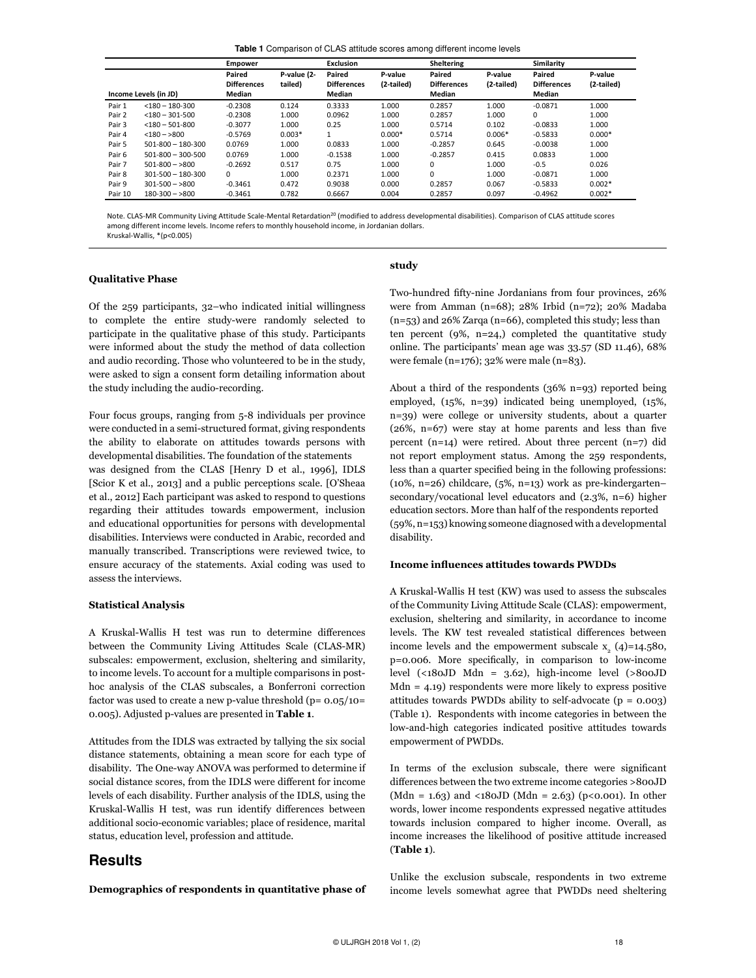|  |  |  |  | Table 1 Comparison of CLAS attitude scores among different income levels |  |
|--|--|--|--|--------------------------------------------------------------------------|--|
|--|--|--|--|--------------------------------------------------------------------------|--|

|                       |                         | <b>Empower</b>     |             | <b>Exclusion</b>   |            | Sheltering         |            | Similarity         |            |
|-----------------------|-------------------------|--------------------|-------------|--------------------|------------|--------------------|------------|--------------------|------------|
|                       |                         | Paired             | P-value (2- | Paired             | P-value    | Paired             | P-value    | Paired             | P-value    |
|                       |                         | <b>Differences</b> | tailed)     | <b>Differences</b> | (2-tailed) | <b>Differences</b> | (2-tailed) | <b>Differences</b> | (2-tailed) |
| Income Levels (in JD) |                         | Median             |             | Median             |            | Median             |            | Median             |            |
| Pair 1                | $< 180 - 180 - 300$     | $-0.2308$          | 0.124       | 0.3333             | 1.000      | 0.2857             | 1.000      | $-0.0871$          | 1.000      |
| Pair 2                | $<$ 180 - 301-500       | $-0.2308$          | 1.000       | 0.0962             | 1.000      | 0.2857             | 1.000      | 0                  | 1.000      |
| Pair 3                | $<$ 180 - 501-800       | $-0.3077$          | 1.000       | 0.25               | 1.000      | 0.5714             | 0.102      | $-0.0833$          | 1.000      |
| Pair 4                | $< 180 - > 800$         | $-0.5769$          | $0.003*$    | $\mathbf{1}$       | $0.000*$   | 0.5714             | $0.006*$   | $-0.5833$          | $0.000*$   |
| Pair 5                | $501 - 800 - 180 - 300$ | 0.0769             | 1.000       | 0.0833             | 1.000      | $-0.2857$          | 0.645      | $-0.0038$          | 1.000      |
| Pair 6                | $501 - 800 - 300 - 500$ | 0.0769             | 1.000       | $-0.1538$          | 1.000      | $-0.2857$          | 0.415      | 0.0833             | 1.000      |
| Pair 7                | $501 - 800 - 800$       | $-0.2692$          | 0.517       | 0.75               | 1.000      | 0                  | 1.000      | $-0.5$             | 0.026      |
| Pair 8                | $301 - 500 - 180 - 300$ | $\Omega$           | 1.000       | 0.2371             | 1.000      | $\Omega$           | 1.000      | $-0.0871$          | 1.000      |
| Pair 9                | $301 - 500 - 800$       | $-0.3461$          | 0.472       | 0.9038             | 0.000      | 0.2857             | 0.067      | $-0.5833$          | $0.002*$   |
| Pair 10               | $180 - 300 - 800$       | $-0.3461$          | 0.782       | 0.6667             | 0.004      | 0.2857             | 0.097      | $-0.4962$          | $0.002*$   |

Note. CLAS-MR Community Living Attitude Scale-Mental Retardation<sup>20</sup> (modified to address developmental disabilities). Comparison of CLAS attitude scores among different income levels. Income refers to monthly household income, in Jordanian dollars. Kruskal-Wallis, \*(p<0.005)

**Qualitative Phase**

#### **study**

Of the 259 participants, 32–who indicated initial willingness to complete the entire study-were randomly selected to participate in the qualitative phase of this study. Participants were informed about the study the method of data collection and audio recording. Those who volunteered to be in the study, were asked to sign a consent form detailing information about the study including the audio-recording.

Four focus groups, ranging from 5-8 individuals per province were conducted in a semi-structured format, giving respondents the ability to elaborate on attitudes towards persons with developmental disabilities. The foundation of the statements was designed from the CLAS [Henry D et al., 1996], IDLS [Scior K et al., 2013] and a public perceptions scale. [O'Sheaa et al., 2012] Each participant was asked to respond to questions regarding their attitudes towards empowerment, inclusion and educational opportunities for persons with developmental disabilities. Interviews were conducted in Arabic, recorded and manually transcribed. Transcriptions were reviewed twice, to ensure accuracy of the statements. Axial coding was used to assess the interviews.

#### **Statistical Analysis**

A Kruskal-Wallis H test was run to determine differences between the Community Living Attitudes Scale (CLAS-MR) subscales: empowerment, exclusion, sheltering and similarity, to income levels. To account for a multiple comparisons in posthoc analysis of the CLAS subscales, a Bonferroni correction factor was used to create a new p-value threshold ( $p = 0.05/10=$ 0.005). Adjusted p-values are presented in **Table 1**.

Attitudes from the IDLS was extracted by tallying the six social distance statements, obtaining a mean score for each type of disability. The One-way ANOVA was performed to determine if social distance scores, from the IDLS were different for income levels of each disability. Further analysis of the IDLS, using the Kruskal-Wallis H test, was run identify differences between additional socio-economic variables; place of residence, marital status, education level, profession and attitude.

### Results

**Demographics of respondents in quantitative phase of** 

Two-hundred fifty-nine Jordanians from four provinces, 26% were from Amman (n=68); 28% Irbid (n=72); 20% Madaba (n=53) and 26% Zarqa (n=66), completed this study; less than ten percent (9%, n=24,) completed the quantitative study online. The participants' mean age was 33.57 (SD 11.46), 68% were female (n=176); 32% were male (n=83).

About a third of the respondents (36% n=93) reported being employed, (15%, n=39) indicated being unemployed, (15%, n=39) were college or university students, about a quarter (26%, n=67) were stay at home parents and less than five percent (n=14) were retired. About three percent (n=7) did not report employment status. Among the 259 respondents, less than a quarter specified being in the following professions: (10%, n=26) childcare, (5%, n=13) work as pre-kindergarten– secondary/vocational level educators and (2.3%, n=6) higher education sectors. More than half of the respondents reported (59%, n=153) knowing someone diagnosed with a developmental disability.

#### **Income influences attitudes towards PWDDs**

A Kruskal-Wallis H test (KW) was used to assess the subscales of the Community Living Attitude Scale (CLAS): empowerment, exclusion, sheltering and similarity, in accordance to income levels. The KW test revealed statistical differences between income levels and the empowerment subscale  $x_2$  (4)=14.580, p=0.006. More specifically, in comparison to low-income level (<180JD Mdn = 3.62), high-income level (>800JD  $Mdn = 4.19$ ) respondents were more likely to express positive attitudes towards PWDDs ability to self-advocate  $(p = 0.003)$ (Table 1). Respondents with income categories in between the low-and-high categories indicated positive attitudes towards empowerment of PWDDs.

In terms of the exclusion subscale, there were significant differences between the two extreme income categories >800JD  $(Mdn = 1.63)$  and <180JD  $(Mdn = 2.63)$  (p<0.001). In other words, lower income respondents expressed negative attitudes towards inclusion compared to higher income. Overall, as income increases the likelihood of positive attitude increased (**Table 1**).

Unlike the exclusion subscale, respondents in two extreme income levels somewhat agree that PWDDs need sheltering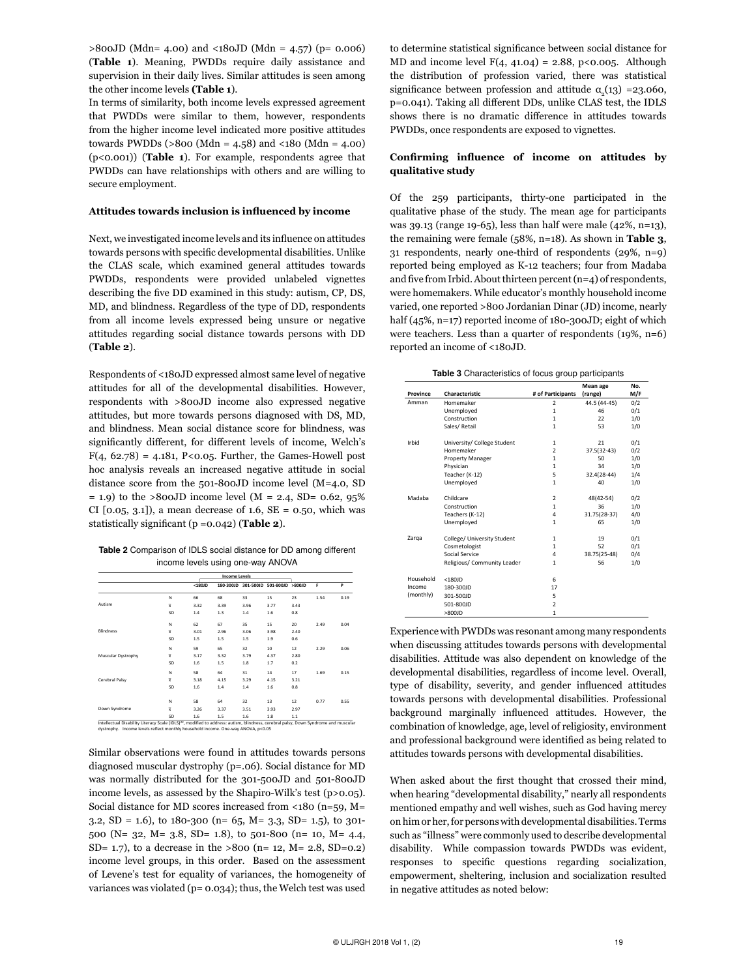>800JD (Mdn= 4.00) and <180JD (Mdn = 4.57) (p= 0.006) (**Table 1**). Meaning, PWDDs require daily assistance and supervision in their daily lives. Similar attitudes is seen among the other income levels **(Table 1**).

In terms of similarity, both income levels expressed agreement that PWDDs were similar to them, however, respondents from the higher income level indicated more positive attitudes towards PWDDs (>800 (Mdn = 4.58) and <180 (Mdn = 4.00) (p<0.001)) (**Table 1**). For example, respondents agree that PWDDs can have relationships with others and are willing to secure employment.

#### **Attitudes towards inclusion is influenced by income**

Next, we investigated income levels and its influence on attitudes towards persons with specific developmental disabilities. Unlike the CLAS scale, which examined general attitudes towards PWDDs, respondents were provided unlabeled vignettes describing the five DD examined in this study: autism, CP, DS, MD, and blindness. Regardless of the type of DD, respondents from all income levels expressed being unsure or negative attitudes regarding social distance towards persons with DD (**Table 2**).

Respondents of <180JD expressed almost same level of negative attitudes for all of the developmental disabilities. However, respondents with >800JD income also expressed negative attitudes, but more towards persons diagnosed with DS, MD, and blindness. Mean social distance score for blindness, was significantly different, for different levels of income, Welch's  $F(4, 62.78) = 4.181$ , P<0.05. Further, the Games-Howell post hoc analysis reveals an increased negative attitude in social distance score from the 501-800JD income level (M=4.0, SD = 1.9) to the >800JD income level (M = 2.4, SD= 0.62, 95% CI  $[0.05, 3.1]$ , a mean decrease of 1.6, SE = 0.50, which was statistically significant (p =0.042) (**Table 2**).

Table 2 Comparison of IDLS social distance for DD among different income levels using one-way ANOVA

|                    |                         |                    | <b>Income Levels</b> |                     |                  |         |      |      |
|--------------------|-------------------------|--------------------|----------------------|---------------------|------------------|---------|------|------|
|                    |                         | $180$ <sub>D</sub> |                      | 180-300JD 301-500JD | 501-800JD >800JD |         | F    | Þ    |
|                    | N                       | 66                 | 68                   | 33                  | 15               | 23      | 1.54 | 0.19 |
| Autism             | $\overline{\mathbf{x}}$ | 3.32               | 3.39                 | 3.96                | 3.77             | 3.43    |      |      |
|                    | SD                      | 1.4                | 1.3                  | 1.4                 | 1.6              | 0.8     |      |      |
|                    | N                       | 62                 | 67                   | 35                  | 15               | 20      | 2.49 | 0.04 |
| <b>Blindness</b>   | $\overline{\mathbf{x}}$ | 3.01               | 2.96                 | 3.06                | 3.98             | 2.40    |      |      |
|                    | SD                      | 1.5                | 1.5                  | 1.5                 | 1.9              | 0.6     |      |      |
|                    | N                       | 59                 | 65                   | 32                  | 10               | 12      | 2.29 | 0.06 |
| Muscular Dystrophy | $\overline{\mathbf{x}}$ | 3.17               | 3.32                 | 3.79                | 4.37             | 2.80    |      |      |
|                    | SD                      | 1.6                | 1.5                  | 1.8                 | 1.7              | 0.2     |      |      |
|                    | N                       | 58                 | 64                   | 31                  | 14               | 17      | 1.69 | 0.15 |
| Cerebral Palsy     | $\overline{\mathbf{x}}$ | 3.18               | 4.15                 | 3.29                | 4.15             | 3.21    |      |      |
|                    | SD                      | 1.6                | 1.4                  | 1.4                 | 1.6              | 0.8     |      |      |
|                    | N                       | 58                 | 64                   | 32                  | 13               | 12      | 0.77 | 0.55 |
| Down Syndrome      | Ÿ                       | 3.26               | 3.37                 | 3.51                | 3.93             | 2.97    |      |      |
|                    | SD                      | 1.6                | 1.5                  | 1.6                 | 1.8              | $1.1\,$ |      |      |

Similar observations were found in attitudes towards persons diagnosed muscular dystrophy (p=.06). Social distance for MD was normally distributed for the 301-500JD and 501-800JD income levels, as assessed by the Shapiro-Wilk's test (p>0.05). Social distance for MD scores increased from <180 (n=59, M= 3.2, SD = 1.6), to 180-300 (n= 65, M= 3.3, SD= 1.5), to 301- 500 (N= 32, M= 3.8, SD= 1.8), to 501-800 (n= 10, M= 4.4, SD= 1.7), to a decrease in the >800 (n= 12, M= 2.8, SD=0.2) income level groups, in this order. Based on the assessment of Levene's test for equality of variances, the homogeneity of variances was violated (p= 0.034); thus, the Welch test was used to determine statistical significance between social distance for MD and income level  $F(4, 41.04) = 2.88$ ,  $p < 0.005$ . Although the distribution of profession varied, there was statistical significance between profession and attitude  $\alpha_2(13)$  =23.060, p=0.041). Taking all different DDs, unlike CLAS test, the IDLS shows there is no dramatic difference in attitudes towards PWDDs, once respondents are exposed to vignettes.

#### **Confirming influence of income on attitudes by qualitative study**

Of the 259 participants, thirty-one participated in the qualitative phase of the study. The mean age for participants was 39.13 (range 19-65), less than half were male (42%, n=13), the remaining were female (58%, n=18). As shown in **Table 3**, 31 respondents, nearly one-third of respondents (29%, n=9) reported being employed as K-12 teachers; four from Madaba and five from Irbid. About thirteen percent (n=4) of respondents, were homemakers. While educator's monthly household income varied, one reported >800 Jordanian Dinar (JD) income, nearly half (45%, n=17) reported income of 180-300JD; eight of which were teachers. Less than a quarter of respondents (19%, n=6) reported an income of <180JD.

| Table 3 Characteristics of focus group participants |  |  |
|-----------------------------------------------------|--|--|
|-----------------------------------------------------|--|--|

|           |                             |                   | Mean age     | No. |
|-----------|-----------------------------|-------------------|--------------|-----|
| Province  | Characteristic              | # of Participants | (range)      | M/F |
| Amman     | Homemaker                   | $\overline{2}$    | 44.5 (44-45) | 0/2 |
|           | Unemployed                  | $\mathbf{1}$      | 46           | 0/1 |
|           | Construction                | $\mathbf{1}$      | 22           | 1/0 |
|           | Sales/Retail                | 1                 | 53           | 1/0 |
| Irbid     | University/ College Student | 1                 | 21           | 0/1 |
|           | Homemaker                   | $\overline{2}$    | 37.5(32-43)  | 0/2 |
|           | Property Manager            | $\mathbf{1}$      | 50           | 1/0 |
|           | Physician                   | 1                 | 34           | 1/0 |
|           | Teacher (K-12)              | 5                 | 32.4(28-44)  | 1/4 |
|           | Unemployed                  | 1                 | 40           | 1/0 |
| Madaba    | Childcare                   | $\overline{2}$    | 48(42-54)    | 0/2 |
|           | Construction                | 1                 | 36           | 1/0 |
|           | Teachers (K-12)             | 4                 | 31.75(28-37) | 4/0 |
|           | Unemployed                  | $\mathbf{1}$      | 65           | 1/0 |
| Zarga     | College/ University Student | 1                 | 19           | 0/1 |
|           | Cosmetologist               | 1                 | 52           | 0/1 |
|           | Social Service              | 4                 | 38.75(25-48) | 0/4 |
|           | Religious/ Community Leader | $\mathbf{1}$      | 56           | 1/0 |
| Household | $<$ 180JD                   | 6                 |              |     |
| Income    | 180-300JD                   | 17                |              |     |
| (monthly) | 301-500JD                   | 5                 |              |     |
|           | 501-800JD                   | $\overline{2}$    |              |     |
|           | >800JD                      | $\mathbf{1}$      |              |     |

Experience with PWDDs was resonant among many respondents when discussing attitudes towards persons with developmental disabilities. Attitude was also dependent on knowledge of the developmental disabilities, regardless of income level. Overall, type of disability, severity, and gender influenced attitudes towards persons with developmental disabilities. Professional background marginally influenced attitudes. However, the combination of knowledge, age, level of religiosity, environment and professional background were identified as being related to attitudes towards persons with developmental disabilities.

When asked about the first thought that crossed their mind, when hearing "developmental disability," nearly all respondents mentioned empathy and well wishes, such as God having mercy on him or her, for persons with developmental disabilities. Terms such as "illness" were commonly used to describe developmental disability. While compassion towards PWDDs was evident, responses to specific questions regarding socialization, empowerment, sheltering, inclusion and socialization resulted in negative attitudes as noted below: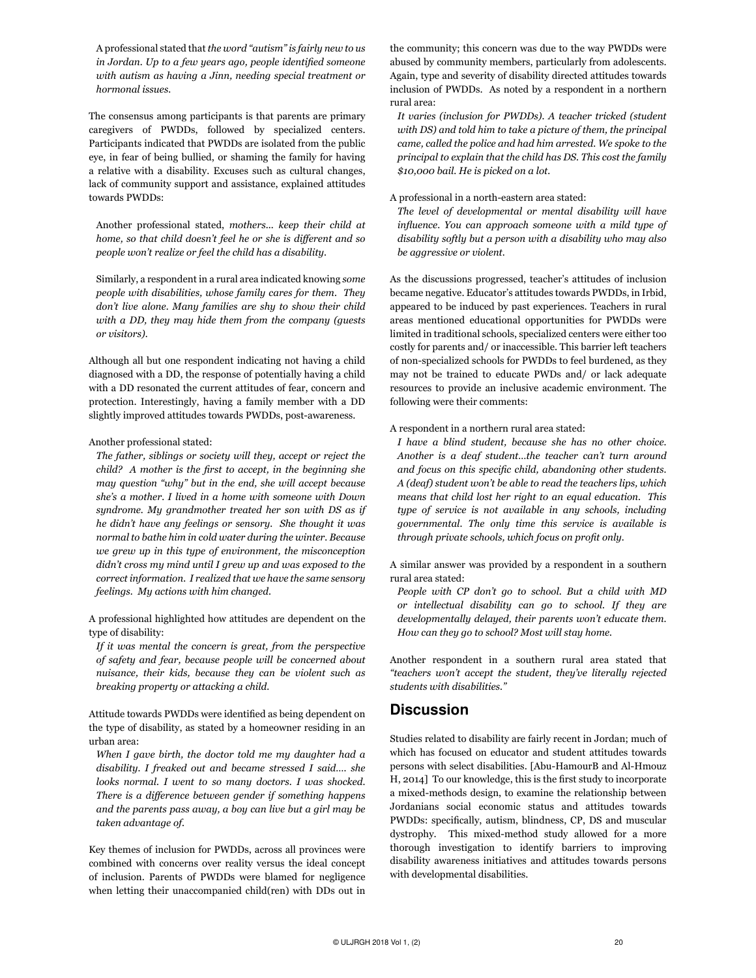A professional stated that *the word "autism" is fairly new to us in Jordan. Up to a few years ago, people identified someone with autism as having a Jinn, needing special treatment or hormonal issues.*

The consensus among participants is that parents are primary caregivers of PWDDs, followed by specialized centers. Participants indicated that PWDDs are isolated from the public eye, in fear of being bullied, or shaming the family for having a relative with a disability. Excuses such as cultural changes, lack of community support and assistance, explained attitudes towards PWDDs:

Another professional stated, *mothers... keep their child at home, so that child doesn't feel he or she is different and so people won't realize or feel the child has a disability.* 

Similarly, a respondent in a rural area indicated knowing *some people with disabilities, whose family cares for them. They don't live alone. Many families are shy to show their child with a DD, they may hide them from the company (guests or visitors).*

Although all but one respondent indicating not having a child diagnosed with a DD, the response of potentially having a child with a DD resonated the current attitudes of fear, concern and protection. Interestingly, having a family member with a DD slightly improved attitudes towards PWDDs, post-awareness.

#### Another professional stated:

*The father, siblings or society will they, accept or reject the child? A mother is the first to accept, in the beginning she may question "why" but in the end, she will accept because she's a mother. I lived in a home with someone with Down syndrome. My grandmother treated her son with DS as if he didn't have any feelings or sensory. She thought it was normal to bathe him in cold water during the winter. Because we grew up in this type of environment, the misconception didn't cross my mind until I grew up and was exposed to the correct information. I realized that we have the same sensory feelings. My actions with him changed.*

A professional highlighted how attitudes are dependent on the type of disability:

*If it was mental the concern is great, from the perspective of safety and fear, because people will be concerned about nuisance, their kids, because they can be violent such as breaking property or attacking a child.*

Attitude towards PWDDs were identified as being dependent on the type of disability, as stated by a homeowner residing in an urban area:

*When I gave birth, the doctor told me my daughter had a disability. I freaked out and became stressed I said…. she looks normal. I went to so many doctors. I was shocked. There is a difference between gender if something happens and the parents pass away, a boy can live but a girl may be taken advantage of.* 

Key themes of inclusion for PWDDs, across all provinces were combined with concerns over reality versus the ideal concept of inclusion. Parents of PWDDs were blamed for negligence when letting their unaccompanied child(ren) with DDs out in the community; this concern was due to the way PWDDs were abused by community members, particularly from adolescents. Again, type and severity of disability directed attitudes towards inclusion of PWDDs. As noted by a respondent in a northern rural area:

*It varies (inclusion for PWDDs). A teacher tricked (student with DS) and told him to take a picture of them, the principal came, called the police and had him arrested. We spoke to the principal to explain that the child has DS. This cost the family \$10,000 bail. He is picked on a lot.*

#### A professional in a north-eastern area stated:

*The level of developmental or mental disability will have influence. You can approach someone with a mild type of disability softly but a person with a disability who may also be aggressive or violent.* 

As the discussions progressed, teacher's attitudes of inclusion became negative. Educator's attitudes towards PWDDs, in Irbid, appeared to be induced by past experiences. Teachers in rural areas mentioned educational opportunities for PWDDs were limited in traditional schools, specialized centers were either too costly for parents and/ or inaccessible. This barrier left teachers of non-specialized schools for PWDDs to feel burdened, as they may not be trained to educate PWDs and/ or lack adequate resources to provide an inclusive academic environment. The following were their comments:

#### A respondent in a northern rural area stated:

*I have a blind student, because she has no other choice. Another is a deaf student…the teacher can't turn around and focus on this specific child, abandoning other students. A (deaf) student won't be able to read the teachers lips, which means that child lost her right to an equal education. This type of service is not available in any schools, including governmental. The only time this service is available is through private schools, which focus on profit only.*

A similar answer was provided by a respondent in a southern rural area stated:

*People with CP don't go to school. But a child with MD or intellectual disability can go to school. If they are developmentally delayed, their parents won't educate them. How can they go to school? Most will stay home.* 

Another respondent in a southern rural area stated that *"teachers won't accept the student, they've literally rejected students with disabilities."* 

### **Discussion**

Studies related to disability are fairly recent in Jordan; much of which has focused on educator and student attitudes towards persons with select disabilities. [Abu-HamourB and Al-Hmouz H, 2014] To our knowledge, this is the first study to incorporate a mixed-methods design, to examine the relationship between Jordanians social economic status and attitudes towards PWDDs: specifically, autism, blindness, CP, DS and muscular dystrophy. This mixed-method study allowed for a more thorough investigation to identify barriers to improving disability awareness initiatives and attitudes towards persons with developmental disabilities.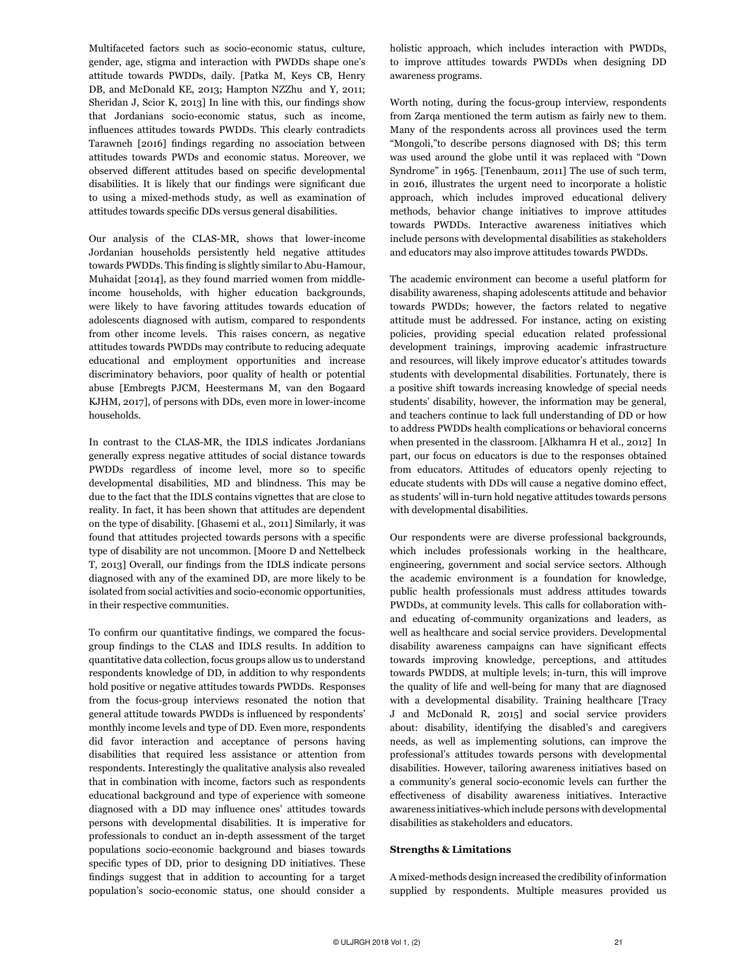Multifaceted factors such as socio-economic status, culture, gender, age, stigma and interaction with PWDDs shape one's attitude towards PWDDs, daily. [Patka M, Keys CB, Henry DB, and McDonald KE, 2013; Hampton NZZhu and Y, 2011; Sheridan J, Scior K, 2013] In line with this, our findings show that Jordanians socio-economic status, such as income, influences attitudes towards PWDDs. This clearly contradicts Tarawneh [2016] findings regarding no association between attitudes towards PWDs and economic status. Moreover, we observed different attitudes based on specific developmental disabilities. It is likely that our findings were significant due to using a mixed-methods study, as well as examination of attitudes towards specific DDs versus general disabilities.

Our analysis of the CLAS-MR, shows that lower-income Jordanian households persistently held negative attitudes towards PWDDs. This finding is slightly similar to Abu-Hamour, Muhaidat [2014], as they found married women from middleincome households, with higher education backgrounds, were likely to have favoring attitudes towards education of adolescents diagnosed with autism, compared to respondents from other income levels. This raises concern, as negative attitudes towards PWDDs may contribute to reducing adequate educational and employment opportunities and increase discriminatory behaviors, poor quality of health or potential abuse [Embregts PJCM, Heestermans M, van den Bogaard KJHM, 2017], of persons with DDs, even more in lower-income households.

In contrast to the CLAS-MR, the IDLS indicates Jordanians generally express negative attitudes of social distance towards PWDDs regardless of income level, more so to specific developmental disabilities, MD and blindness. This may be due to the fact that the IDLS contains vignettes that are close to reality. In fact, it has been shown that attitudes are dependent on the type of disability. [Ghasemi et al., 2011] Similarly, it was found that attitudes projected towards persons with a specific type of disability are not uncommon. [Moore D and Nettelbeck T, 2013] Overall, our findings from the IDLS indicate persons diagnosed with any of the examined DD, are more likely to be isolated from social activities and socio-economic opportunities, in their respective communities.

To confirm our quantitative findings, we compared the focusgroup findings to the CLAS and IDLS results. In addition to quantitative data collection, focus groups allow us to understand respondents knowledge of DD, in addition to why respondents hold positive or negative attitudes towards PWDDs. Responses from the focus-group interviews resonated the notion that general attitude towards PWDDs is influenced by respondents' monthly income levels and type of DD. Even more, respondents did favor interaction and acceptance of persons having disabilities that required less assistance or attention from respondents. Interestingly the qualitative analysis also revealed that in combination with income, factors such as respondents educational background and type of experience with someone diagnosed with a DD may influence ones' attitudes towards persons with developmental disabilities. It is imperative for professionals to conduct an in-depth assessment of the target populations socio-economic background and biases towards specific types of DD, prior to designing DD initiatives. These findings suggest that in addition to accounting for a target population's socio-economic status, one should consider a holistic approach, which includes interaction with PWDDs, to improve attitudes towards PWDDs when designing DD awareness programs.

Worth noting, during the focus-group interview, respondents from Zarqa mentioned the term autism as fairly new to them. Many of the respondents across all provinces used the term "Mongoli,"to describe persons diagnosed with DS; this term was used around the globe until it was replaced with "Down Syndrome" in 1965. [Tenenbaum, 2011] The use of such term, in 2016, illustrates the urgent need to incorporate a holistic approach, which includes improved educational delivery methods, behavior change initiatives to improve attitudes towards PWDDs. Interactive awareness initiatives which include persons with developmental disabilities as stakeholders and educators may also improve attitudes towards PWDDs.

The academic environment can become a useful platform for disability awareness, shaping adolescents attitude and behavior towards PWDDs; however, the factors related to negative attitude must be addressed. For instance, acting on existing policies, providing special education related professional development trainings, improving academic infrastructure and resources, will likely improve educator's attitudes towards students with developmental disabilities. Fortunately, there is a positive shift towards increasing knowledge of special needs students' disability, however, the information may be general, and teachers continue to lack full understanding of DD or how to address PWDDs health complications or behavioral concerns when presented in the classroom. [Alkhamra H et al., 2012] In part, our focus on educators is due to the responses obtained from educators. Attitudes of educators openly rejecting to educate students with DDs will cause a negative domino effect, as students' will in-turn hold negative attitudes towards persons with developmental disabilities.

Our respondents were are diverse professional backgrounds, which includes professionals working in the healthcare, engineering, government and social service sectors. Although the academic environment is a foundation for knowledge, public health professionals must address attitudes towards PWDDs, at community levels. This calls for collaboration withand educating of-community organizations and leaders, as well as healthcare and social service providers. Developmental disability awareness campaigns can have significant effects towards improving knowledge, perceptions, and attitudes towards PWDDS, at multiple levels; in-turn, this will improve the quality of life and well-being for many that are diagnosed with a developmental disability. Training healthcare [Tracy J and McDonald R, 2015] and social service providers about: disability, identifying the disabled's and caregivers needs, as well as implementing solutions, can improve the professional's attitudes towards persons with developmental disabilities. However, tailoring awareness initiatives based on a community's general socio-economic levels can further the effectiveness of disability awareness initiatives. Interactive awareness initiatives-which include persons with developmental disabilities as stakeholders and educators.

#### **Strengths & Limitations**

A mixed-methods design increased the credibility of information supplied by respondents. Multiple measures provided us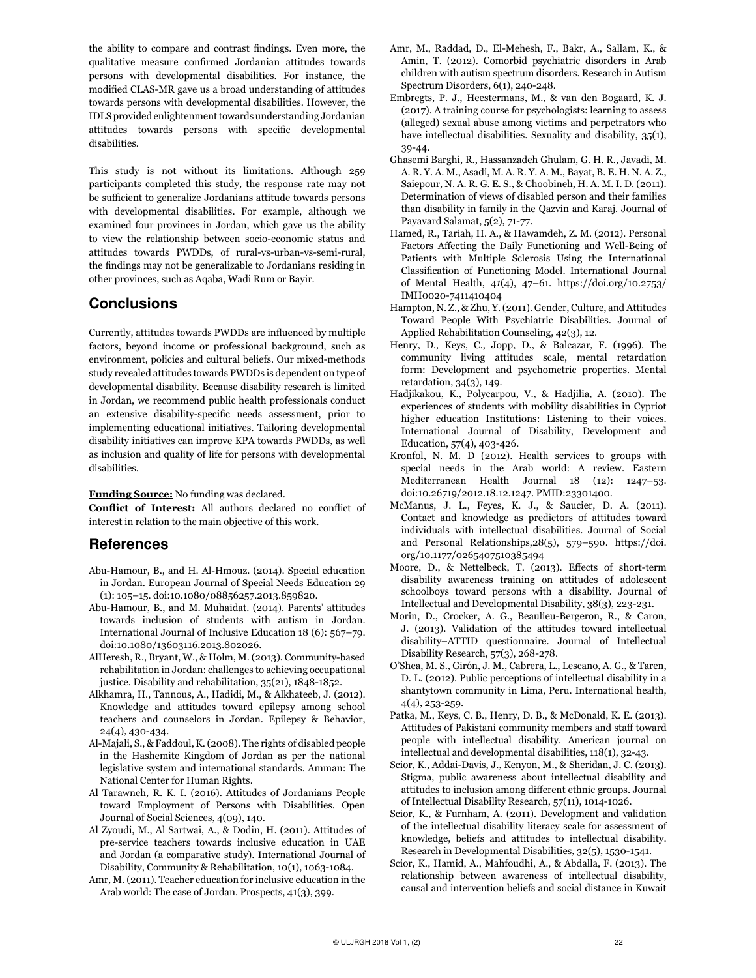the ability to compare and contrast findings. Even more, the qualitative measure confirmed Jordanian attitudes towards persons with developmental disabilities. For instance, the modified CLAS-MR gave us a broad understanding of attitudes towards persons with developmental disabilities. However, the IDLS provided enlightenment towards understanding Jordanian attitudes towards persons with specific developmental disabilities.

This study is not without its limitations. Although 259 participants completed this study, the response rate may not be sufficient to generalize Jordanians attitude towards persons with developmental disabilities. For example, although we examined four provinces in Jordan, which gave us the ability to view the relationship between socio-economic status and attitudes towards PWDDs, of rural-vs-urban-vs-semi-rural, the findings may not be generalizable to Jordanians residing in other provinces, such as Aqaba, Wadi Rum or Bayir.

## **Conclusions**

Currently, attitudes towards PWDDs are influenced by multiple factors, beyond income or professional background, such as environment, policies and cultural beliefs. Our mixed-methods study revealed attitudes towards PWDDs is dependent on type of developmental disability. Because disability research is limited in Jordan, we recommend public health professionals conduct an extensive disability-specific needs assessment, prior to implementing educational initiatives. Tailoring developmental disability initiatives can improve KPA towards PWDDs, as well as inclusion and quality of life for persons with developmental disabilities.

**Funding Source:** No funding was declared.

**Conflict of Interest:** All authors declared no conflict of interest in relation to the main objective of this work.

## **References**

- Abu-Hamour, B., and H. Al-Hmouz. (2014). Special education in Jordan. European Journal of Special Needs Education 29 (1): 105–15. doi:10.1080/08856257.2013.859820.
- Abu-Hamour, B., and M. Muhaidat. (2014). Parents' attitudes towards inclusion of students with autism in Jordan. International Journal of Inclusive Education 18 (6): 567–79. doi:10.1080/13603116.2013.802026.
- AlHeresh, R., Bryant, W., & Holm, M. (2013). Community-based rehabilitation in Jordan: challenges to achieving occupational justice. Disability and rehabilitation, 35(21), 1848-1852.
- Alkhamra, H., Tannous, A., Hadidi, M., & Alkhateeb, J. (2012). Knowledge and attitudes toward epilepsy among school teachers and counselors in Jordan. Epilepsy & Behavior, 24(4), 430-434.
- Al-Majali, S., & Faddoul, K. (2008). The rights of disabled people in the Hashemite Kingdom of Jordan as per the national legislative system and international standards. Amman: The National Center for Human Rights.
- Al Tarawneh, R. K. I. (2016). Attitudes of Jordanians People toward Employment of Persons with Disabilities. Open Journal of Social Sciences, 4(09), 140.
- Al Zyoudi, M., Al Sartwai, A., & Dodin, H. (2011). Attitudes of pre-service teachers towards inclusive education in UAE and Jordan (a comparative study). International Journal of Disability, Community & Rehabilitation, 10(1), 1063-1084.
- Amr, M. (2011). Teacher education for inclusive education in the Arab world: The case of Jordan. Prospects, 41(3), 399.
- Amr, M., Raddad, D., El-Mehesh, F., Bakr, A., Sallam, K., & Amin, T. (2012). Comorbid psychiatric disorders in Arab children with autism spectrum disorders. Research in Autism Spectrum Disorders, 6(1), 240-248.
- Embregts, P. J., Heestermans, M., & van den Bogaard, K. J. (2017). A training course for psychologists: learning to assess (alleged) sexual abuse among victims and perpetrators who have intellectual disabilities. Sexuality and disability, 35(1), 39-44.
- Ghasemi Barghi, R., Hassanzadeh Ghulam, G. H. R., Javadi, M. A. R. Y. A. M., Asadi, M. A. R. Y. A. M., Bayat, B. E. H. N. A. Z., Saiepour, N. A. R. G. E. S., & Choobineh, H. A. M. I. D. (2011). Determination of views of disabled person and their families than disability in family in the Qazvin and Karaj. Journal of Payavard Salamat, 5(2), 71-77.
- Hamed, R., Tariah, H. A., & Hawamdeh, Z. M. (2012). Personal Factors Affecting the Daily Functioning and Well-Being of Patients with Multiple Sclerosis Using the International Classification of Functioning Model. International Journal of Mental Health, 4*1*(4), 47–61. https://doi.org/10.2753/ IMH0020-7411410404
- Hampton, N. Z., & Zhu, Y. (2011). Gender, Culture, and Attitudes Toward People With Psychiatric Disabilities. Journal of Applied Rehabilitation Counseling, 42(3), 12.
- Henry, D., Keys, C., Jopp, D., & Balcazar, F. (1996). The community living attitudes scale, mental retardation form: Development and psychometric properties. Mental retardation, 34(3), 149.
- Hadjikakou, K., Polycarpou, V., & Hadjilia, A. (2010). The experiences of students with mobility disabilities in Cypriot higher education Institutions: Listening to their voices. International Journal of Disability, Development and Education, 57(4), 403-426.
- Kronfol, N. M. D (2012). Health services to groups with special needs in the Arab world: A review. Eastern Mediterranean Health Journal 18 (12): 1247–53. doi:10.26719/2012.18.12.1247. PMID:23301400.
- McManus, J. L., Feyes, K. J., & Saucier, D. A. (2011). Contact and knowledge as predictors of attitudes toward individuals with intellectual disabilities. Journal of Social and Personal Relationships,28(5), 579–590. https://doi. org/10.1177/0265407510385494
- Moore, D., & Nettelbeck, T. (2013). Effects of short-term disability awareness training on attitudes of adolescent schoolboys toward persons with a disability. Journal of Intellectual and Developmental Disability, 38(3), 223-231.
- Morin, D., Crocker, A. G., Beaulieu-Bergeron, R., & Caron, J. (2013). Validation of the attitudes toward intellectual disability–ATTID questionnaire. Journal of Intellectual Disability Research, 57(3), 268-278.
- O'Shea, M. S., Girón, J. M., Cabrera, L., Lescano, A. G., & Taren, D. L. (2012). Public perceptions of intellectual disability in a shantytown community in Lima, Peru. International health, 4(4), 253-259.
- Patka, M., Keys, C. B., Henry, D. B., & McDonald, K. E. (2013). Attitudes of Pakistani community members and staff toward people with intellectual disability. American journal on intellectual and developmental disabilities, 118(1), 32-43.
- Scior, K., Addai-Davis, J., Kenyon, M., & Sheridan, J. C. (2013). Stigma, public awareness about intellectual disability and attitudes to inclusion among different ethnic groups. Journal of Intellectual Disability Research, 57(11), 1014-1026.
- Scior, K., & Furnham, A. (2011). Development and validation of the intellectual disability literacy scale for assessment of knowledge, beliefs and attitudes to intellectual disability. Research in Developmental Disabilities, 32(5), 1530-1541.
- Scior, K., Hamid, A., Mahfoudhi, A., & Abdalla, F. (2013). The relationship between awareness of intellectual disability, causal and intervention beliefs and social distance in Kuwait